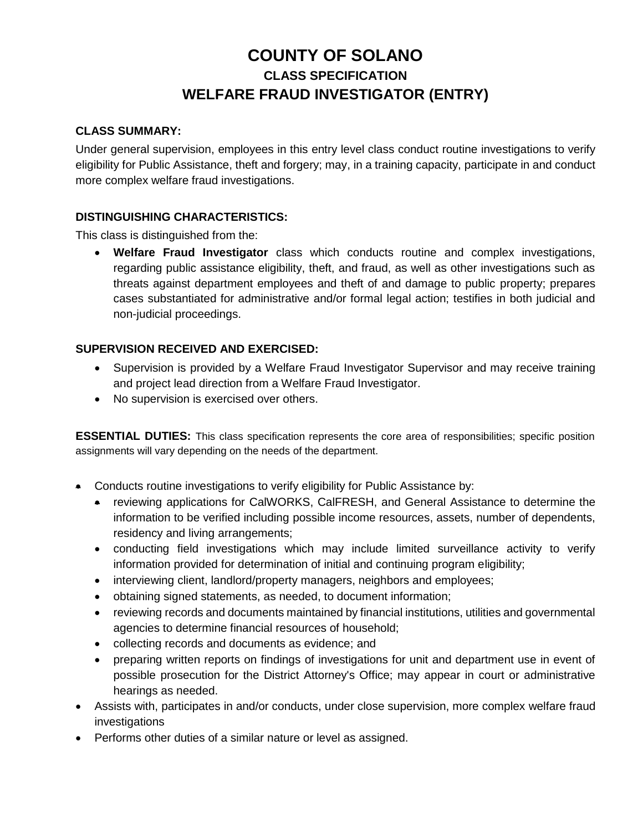# **COUNTY OF SOLANO CLASS SPECIFICATION WELFARE FRAUD INVESTIGATOR (ENTRY)**

#### **CLASS SUMMARY:**

Under general supervision, employees in this entry level class conduct routine investigations to verify eligibility for Public Assistance, theft and forgery; may, in a training capacity, participate in and conduct more complex welfare fraud investigations.

## **DISTINGUISHING CHARACTERISTICS:**

This class is distinguished from the:

• **Welfare Fraud Investigator** class which conducts routine and complex investigations, regarding public assistance eligibility, theft, and fraud, as well as other investigations such as threats against department employees and theft of and damage to public property; prepares cases substantiated for administrative and/or formal legal action; testifies in both judicial and non-judicial proceedings.

# **SUPERVISION RECEIVED AND EXERCISED:**

- Supervision is provided by a Welfare Fraud Investigator Supervisor and may receive training and project lead direction from a Welfare Fraud Investigator.
- No supervision is exercised over others.

**ESSENTIAL DUTIES:** This class specification represents the core area of responsibilities; specific position assignments will vary depending on the needs of the department.

- Conducts routine investigations to verify eligibility for Public Assistance by:
	- reviewing applications for CalWORKS, CalFRESH, and General Assistance to determine the information to be verified including possible income resources, assets, number of dependents, residency and living arrangements;
	- conducting field investigations which may include limited surveillance activity to verify information provided for determination of initial and continuing program eligibility;
	- interviewing client, landlord/property managers, neighbors and employees;
	- obtaining signed statements, as needed, to document information;
	- reviewing records and documents maintained by financial institutions, utilities and governmental agencies to determine financial resources of household;
	- collecting records and documents as evidence; and
	- preparing written reports on findings of investigations for unit and department use in event of possible prosecution for the District Attorney's Office; may appear in court or administrative hearings as needed.
- Assists with, participates in and/or conducts, under close supervision, more complex welfare fraud investigations
- Performs other duties of a similar nature or level as assigned.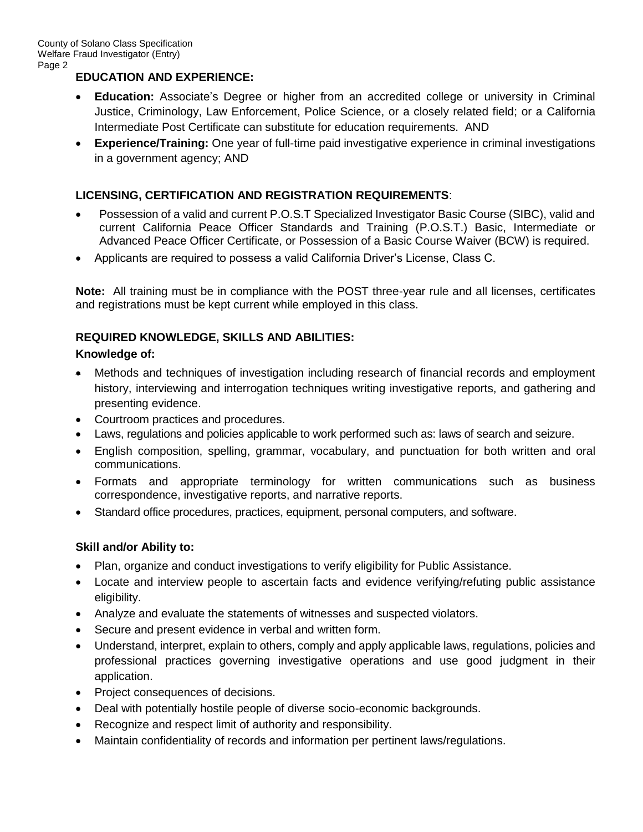# **EDUCATION AND EXPERIENCE:**

- **Education:** Associate's Degree or higher from an accredited college or university in Criminal Justice, Criminology, Law Enforcement, Police Science, or a closely related field; or a California Intermediate Post Certificate can substitute for education requirements. AND
- **Experience/Training:** One year of full-time paid investigative experience in criminal investigations in a government agency; AND

# **LICENSING, CERTIFICATION AND REGISTRATION REQUIREMENTS**:

- Possession of a valid and current P.O.S.T Specialized Investigator Basic Course (SIBC), valid and current California Peace Officer Standards and Training (P.O.S.T.) Basic, Intermediate or Advanced Peace Officer Certificate, or Possession of a Basic Course Waiver (BCW) is required.
- Applicants are required to possess a valid California Driver's License, Class C.

**Note:** All training must be in compliance with the POST three-year rule and all licenses, certificates and registrations must be kept current while employed in this class.

## **REQUIRED KNOWLEDGE, SKILLS AND ABILITIES:**

#### **Knowledge of:**

- Methods and techniques of investigation including research of financial records and employment history, interviewing and interrogation techniques writing investigative reports, and gathering and presenting evidence.
- Courtroom practices and procedures.
- Laws, regulations and policies applicable to work performed such as: laws of search and seizure.
- English composition, spelling, grammar, vocabulary, and punctuation for both written and oral communications.
- Formats and appropriate terminology for written communications such as business correspondence, investigative reports, and narrative reports.
- Standard office procedures, practices, equipment, personal computers, and software.

## **Skill and/or Ability to:**

- Plan, organize and conduct investigations to verify eligibility for Public Assistance.
- Locate and interview people to ascertain facts and evidence verifying/refuting public assistance eligibility.
- Analyze and evaluate the statements of witnesses and suspected violators.
- Secure and present evidence in verbal and written form.
- Understand, interpret, explain to others, comply and apply applicable laws, regulations, policies and professional practices governing investigative operations and use good judgment in their application.
- Project consequences of decisions.
- Deal with potentially hostile people of diverse socio-economic backgrounds.
- Recognize and respect limit of authority and responsibility.
- Maintain confidentiality of records and information per pertinent laws/regulations.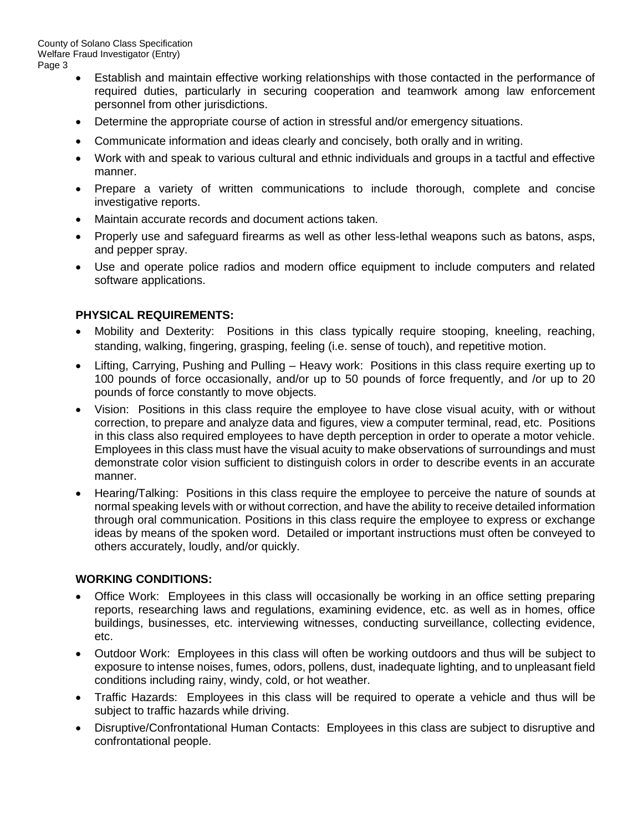- Establish and maintain effective working relationships with those contacted in the performance of required duties, particularly in securing cooperation and teamwork among law enforcement personnel from other jurisdictions.
- Determine the appropriate course of action in stressful and/or emergency situations.
- Communicate information and ideas clearly and concisely, both orally and in writing.
- Work with and speak to various cultural and ethnic individuals and groups in a tactful and effective manner.
- Prepare a variety of written communications to include thorough, complete and concise investigative reports.
- Maintain accurate records and document actions taken.
- Properly use and safeguard firearms as well as other less-lethal weapons such as batons, asps, and pepper spray.
- Use and operate police radios and modern office equipment to include computers and related software applications.

## **PHYSICAL REQUIREMENTS:**

- Mobility and Dexterity: Positions in this class typically require stooping, kneeling, reaching, standing, walking, fingering, grasping, feeling (i.e. sense of touch), and repetitive motion.
- Lifting, Carrying, Pushing and Pulling Heavy work: Positions in this class require exerting up to 100 pounds of force occasionally, and/or up to 50 pounds of force frequently, and /or up to 20 pounds of force constantly to move objects.
- Vision: Positions in this class require the employee to have close visual acuity, with or without correction, to prepare and analyze data and figures, view a computer terminal, read, etc. Positions in this class also required employees to have depth perception in order to operate a motor vehicle. Employees in this class must have the visual acuity to make observations of surroundings and must demonstrate color vision sufficient to distinguish colors in order to describe events in an accurate manner.
- Hearing/Talking: Positions in this class require the employee to perceive the nature of sounds at normal speaking levels with or without correction, and have the ability to receive detailed information through oral communication. Positions in this class require the employee to express or exchange ideas by means of the spoken word. Detailed or important instructions must often be conveyed to others accurately, loudly, and/or quickly.

#### **WORKING CONDITIONS:**

- Office Work: Employees in this class will occasionally be working in an office setting preparing reports, researching laws and regulations, examining evidence, etc. as well as in homes, office buildings, businesses, etc. interviewing witnesses, conducting surveillance, collecting evidence, etc.
- Outdoor Work: Employees in this class will often be working outdoors and thus will be subject to exposure to intense noises, fumes, odors, pollens, dust, inadequate lighting, and to unpleasant field conditions including rainy, windy, cold, or hot weather.
- Traffic Hazards: Employees in this class will be required to operate a vehicle and thus will be subject to traffic hazards while driving.
- Disruptive/Confrontational Human Contacts: Employees in this class are subject to disruptive and confrontational people.